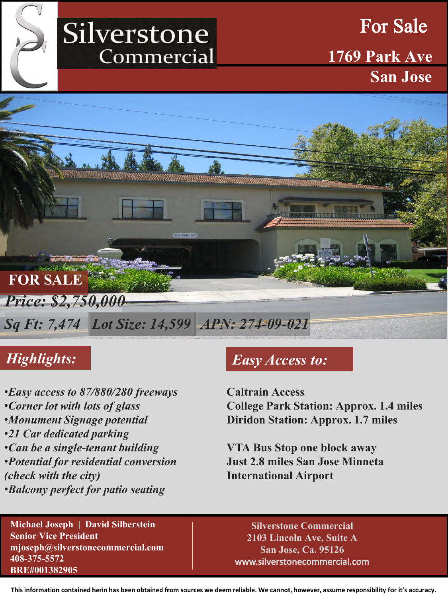

For Sale **1769 Park Ave San Jose**



- •*Easy access to 87/880/280 freeways*
- •*Corner lot with lots of glass*
- •*Monument Signage potential*
- •*21 Car dedicated parking*
- •*Can be a single-tenant building*
- •*Potential for residential conversion (check with the city)*
- •*Balcony perfect for patio seating*

### *Highlights: Easy Access to:*

**Caltrain Access College Park Station: Approx. 1.4 miles Diridon Station: Approx. 1.7 miles**

**VTA Bus Stop one block away Just 2.8 miles San Jose Minneta International Airport**

**Michael Joseph | David Silberstein Senior Vice President mjoseph@silverstonecommercial.com 408-375-5572 BRE#001382905**

**Silverstone Commercial 2103 Lincoln Ave, Suite A San Jose, Ca. 95126**  www.silverstonecommercial.com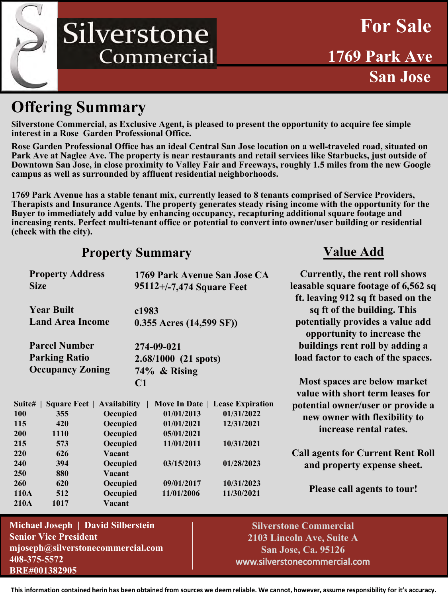

**For Sale**

**1769 Park Ave San Jose**

### **Offering Summary**

**Silverstone Commercial, as Exclusive Agent, is pleased to present the opportunity to acquire fee simple interest in a Rose Garden Professional Office.**

**Rose Garden Professional Office has an ideal Central San Jose location on a well-traveled road, situated on Park Ave at Naglee Ave. The property is near restaurants and retail services like Starbucks, just outside of Downtown San Jose, in close proximity to Valley Fair and Freeways, roughly 1.5 miles from the new Google campus as well as surrounded by affluent residential neighborhoods.**

**1769 Park Avenue has a stable tenant mix, currently leased to 8 tenants comprised of Service Providers, Therapists and Insurance Agents. The property generates steady rising income with the opportunity for the Buyer to immediately add value by enhancing occupancy, recapturing additional square footage and increasing rents. Perfect multi-tenant office or potential to convert into owner/user building or residential (check with the city).**

#### **Property Summary**

#### **Value Add**

|             | <b>Property Address</b> |                     | 1769 Park Avenue San Jose CA |                                 | Currently, the rent roll shows           |
|-------------|-------------------------|---------------------|------------------------------|---------------------------------|------------------------------------------|
| <b>Size</b> |                         |                     | 95112+/-7,474 Square Feet    |                                 | leasable square footage of 6,562 sq      |
|             |                         |                     |                              |                                 | ft. leaving 912 sq ft based on the       |
|             | <b>Year Built</b>       |                     | c1983                        |                                 | sq ft of the building. This              |
|             | <b>Land Area Income</b> |                     | $0.355$ Acres $(14,599$ SF)) |                                 | potentially provides a value add         |
|             |                         |                     |                              |                                 | opportunity to increase the              |
|             | <b>Parcel Number</b>    |                     | 274-09-021                   |                                 | buildings rent roll by adding a          |
|             | <b>Parking Ratio</b>    |                     | $2.68/1000$ (21 spots)       |                                 | load factor to each of the spaces.       |
|             | <b>Occupancy Zoning</b> |                     | 74% & Rising                 |                                 |                                          |
|             |                         |                     | C1                           |                                 | Most spaces are below market             |
|             |                         |                     |                              |                                 | value with short term leases for         |
| Suite#      | <b>Square Feet</b>      | <b>Availability</b> |                              | Move In Date   Lease Expiration | potential owner/user or provide a        |
| 100         | 355                     | Occupied            | 01/01/2013                   | 01/31/2022                      | new owner with flexibility to            |
| 115         | 420                     | Occupied            | 01/01/2021                   | 12/31/2021                      | increase rental rates.                   |
| 200         | 1110                    | Occupied            | 05/01/2021                   |                                 |                                          |
| 215         | 573                     | Occupied            | 11/01/2011                   | 10/31/2021                      |                                          |
| <b>220</b>  | 626                     | Vacant              |                              |                                 | <b>Call agents for Current Rent Roll</b> |
| 240         | 394                     | Occupied            | 03/15/2013                   | 01/28/2023                      | and property expense sheet.              |
| <b>250</b>  | 880                     | Vacant              |                              |                                 |                                          |
| 260         | 620                     | Occupied            | 09/01/2017                   | 10/31/2023                      | Please call agents to tour!              |
| 110A        | 512                     | Occupied            | 11/01/2006                   | 11/30/2021                      |                                          |
| 210A        | 1017                    | Vacant              |                              |                                 |                                          |
|             |                         |                     |                              |                                 |                                          |

**Michael Joseph | David Silberstein Senior Vice President mjoseph@silverstonecommercial.com 408-375-5572 BRE#001382905**

**Silverstone Commercial 2103 Lincoln Ave, Suite A San Jose, Ca. 95126** www.silverstonecommercial.com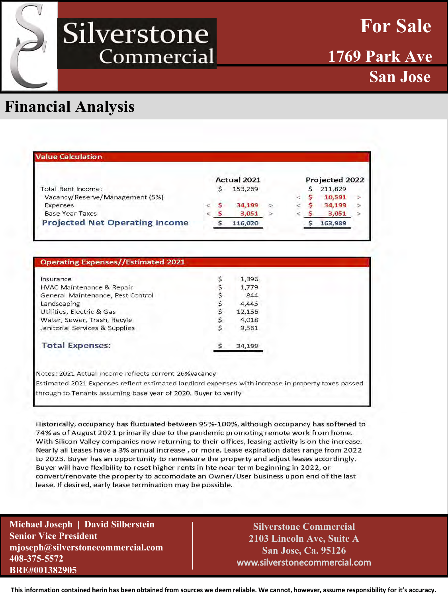

**For Sale**

### **1769 Park Ave San Jose**

### **Financial Analysis**

| <b>Value Calculation</b>              |  |             |  |                |  |
|---------------------------------------|--|-------------|--|----------------|--|
|                                       |  | Actual 2021 |  | Projected 2022 |  |
| Total Rent Income:                    |  | 153,269     |  | 211,829        |  |
| Vacancy/Reserve/Management (5%)       |  |             |  | 10,591         |  |
| Expenses                              |  | 34.199      |  | 34.199         |  |
| <b>Base Year Taxes</b>                |  | 3,051       |  | 3,051          |  |
| <b>Projected Net Operating Income</b> |  | 116,020     |  | 163.989        |  |

| Insurance                         | 1,396  |
|-----------------------------------|--------|
| HVAC Maintenance & Repair         | 1,779  |
| General Maintenance, Pest Control | 844    |
| Landscaping                       | 4,445  |
| Utilities, Electric & Gas         | 12,156 |
| Water, Sewer, Trash, Recyle       | 4,018  |
| Janitorial Services & Supplies    | 9,561  |
| <b>Total Expenses:</b>            | 34,199 |
|                                   |        |

through to Tenants assuming base year of 2020. Buyer to verify

Historically, occupancy has fluctuated between 95%-100%, although occupancy has softened to 74% as of August 2021 primarily due to the pandemic promoting remote work from home. With Silicon Valley companies now returning to their offices, leasing activity is on the increase. Nearly all Leases have a 3% annual increase, or more, Lease expiration dates range from 2022 to 2023. Buyer has an opportunity to remeasure the property and adjust leases accordingly. Buyer will have flexibility to reset higher rents in hte near term beginning in 2022, or convert/renovate the property to accomodate an Owner/User business upon end of the last lease. If desired, early lease termination may be possible.

**Michael Joseph | David Silberstein Senior Vice President mjoseph@silverstonecommercial.com 408-375-5572 BRE#001382905**

**Silverstone Commercial 2103 Lincoln Ave, Suite A San Jose, Ca. 95126** www.silverstonecommercial.com